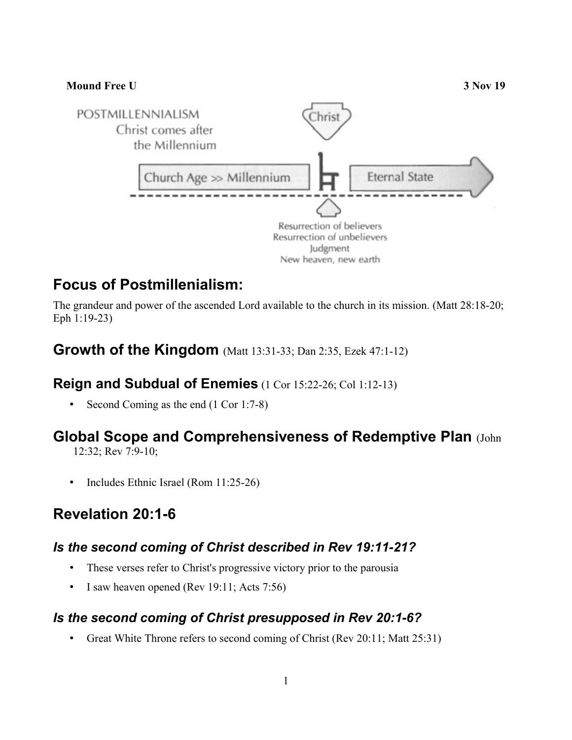

# **Focus of Postmillenialism:**

The grandeur and power of the ascended Lord available to the church in its mission. (Matt 28:18-20; Eph 1:19-23)

### **Growth of the Kingdom** (Matt 13:31-33; Dan 2:35, Ezek 47:1-12)

#### **Reign and Subdual of Enemies** (1 Cor 15:22-26; Col 1:12-13)

• Second Coming as the end (1 Cor 1:7-8)

## **Global Scope and Comprehensiveness of Redemptive Plan** (John

12:32; Rev 7:9-10;

• Includes Ethnic Israel (Rom 11:25-26)

## **Revelation 20:1-6**

#### *Is the second coming of Christ described in Rev 19:11-21?*

- These verses refer to Christ's progressive victory prior to the parousia
- I saw heaven opened (Rev 19:11; Acts 7:56)

#### *Is the second coming of Christ presupposed in Rev 20:1-6?*

• Great White Throne refers to second coming of Christ (Rev 20:11; Matt 25:31)